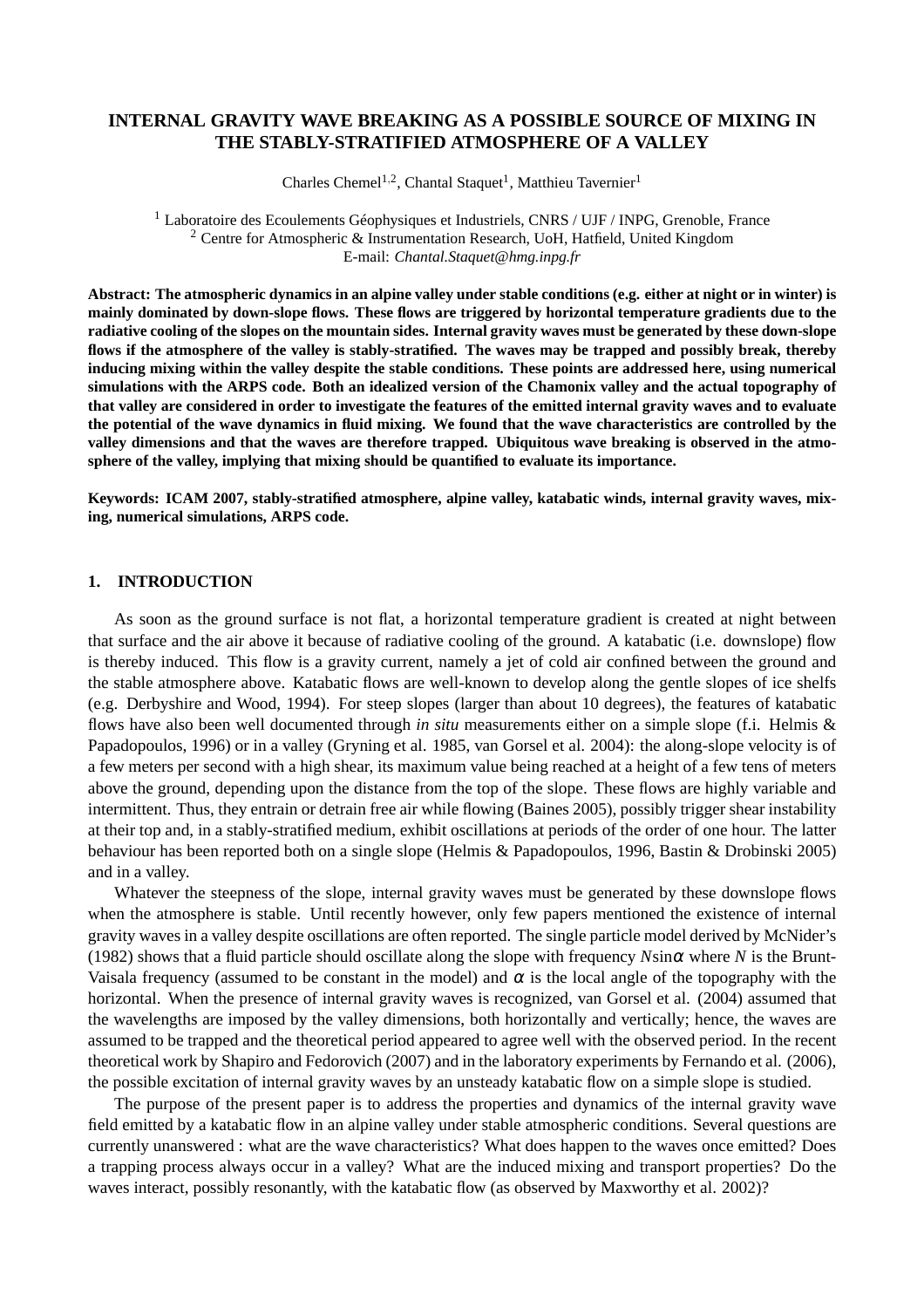# **INTERNAL GRAVITY WAVE BREAKING AS A POSSIBLE SOURCE OF MIXING IN THE STABLY-STRATIFIED ATMOSPHERE OF A VALLEY**

Charles Chemel<sup>1,2</sup>, Chantal Staquet<sup>1</sup>, Matthieu Tavernier<sup>1</sup>

<sup>1</sup> Laboratoire des Ecoulements Géophysiques et Industriels, CNRS / UJF / INPG, Grenoble, France <sup>2</sup> Centre for Atmospheric & Instrumentation Research, UoH, Hatfield, United Kingdom E-mail: *Chantal.Staquet@hmg.inpg.fr*

**Abstract: The atmospheric dynamics in an alpine valley under stable conditions (e.g. either at night or in winter) is mainly dominated by down-slope flows. These flows are triggered by horizontal temperature gradients due to the radiative cooling of the slopes on the mountain sides. Internal gravity waves must be generated by these down-slope flows if the atmosphere of the valley is stably-stratified. The waves may be trapped and possibly break, thereby inducing mixing within the valley despite the stable conditions. These points are addressed here, using numerical simulations with the ARPS code. Both an idealized version of the Chamonix valley and the actual topography of that valley are considered in order to investigate the features of the emitted internal gravity waves and to evaluate the potential of the wave dynamics in fluid mixing. We found that the wave characteristics are controlled by the valley dimensions and that the waves are therefore trapped. Ubiquitous wave breaking is observed in the atmosphere of the valley, implying that mixing should be quantified to evaluate its importance.**

**Keywords: ICAM 2007, stably-stratified atmosphere, alpine valley, katabatic winds, internal gravity waves, mixing, numerical simulations, ARPS code.**

#### **1. INTRODUCTION**

As soon as the ground surface is not flat, a horizontal temperature gradient is created at night between that surface and the air above it because of radiative cooling of the ground. A katabatic (i.e. downslope) flow is thereby induced. This flow is a gravity current, namely a jet of cold air confined between the ground and the stable atmosphere above. Katabatic flows are well-known to develop along the gentle slopes of ice shelfs (e.g. Derbyshire and Wood, 1994). For steep slopes (larger than about 10 degrees), the features of katabatic flows have also been well documented through *in situ* measurements either on a simple slope (f.i. Helmis & Papadopoulos, 1996) or in a valley (Gryning et al. 1985, van Gorsel et al. 2004): the along-slope velocity is of a few meters per second with a high shear, its maximum value being reached at a height of a few tens of meters above the ground, depending upon the distance from the top of the slope. These flows are highly variable and intermittent. Thus, they entrain or detrain free air while flowing (Baines 2005), possibly trigger shear instability at their top and, in a stably-stratified medium, exhibit oscillations at periods of the order of one hour. The latter behaviour has been reported both on a single slope (Helmis & Papadopoulos, 1996, Bastin & Drobinski 2005) and in a valley.

Whatever the steepness of the slope, internal gravity waves must be generated by these downslope flows when the atmosphere is stable. Until recently however, only few papers mentioned the existence of internal gravity waves in a valley despite oscillations are often reported. The single particle model derived by McNider's (1982) shows that a fluid particle should oscillate along the slope with frequency *N*sin<sup>α</sup> where *N* is the Brunt-Vaisala frequency (assumed to be constant in the model) and  $\alpha$  is the local angle of the topography with the horizontal. When the presence of internal gravity waves is recognized, van Gorsel et al. (2004) assumed that the wavelengths are imposed by the valley dimensions, both horizontally and vertically; hence, the waves are assumed to be trapped and the theoretical period appeared to agree well with the observed period. In the recent theoretical work by Shapiro and Fedorovich (2007) and in the laboratory experiments by Fernando et al. (2006), the possible excitation of internal gravity waves by an unsteady katabatic flow on a simple slope is studied.

The purpose of the present paper is to address the properties and dynamics of the internal gravity wave field emitted by a katabatic flow in an alpine valley under stable atmospheric conditions. Several questions are currently unanswered : what are the wave characteristics? What does happen to the waves once emitted? Does a trapping process always occur in a valley? What are the induced mixing and transport properties? Do the waves interact, possibly resonantly, with the katabatic flow (as observed by Maxworthy et al. 2002)?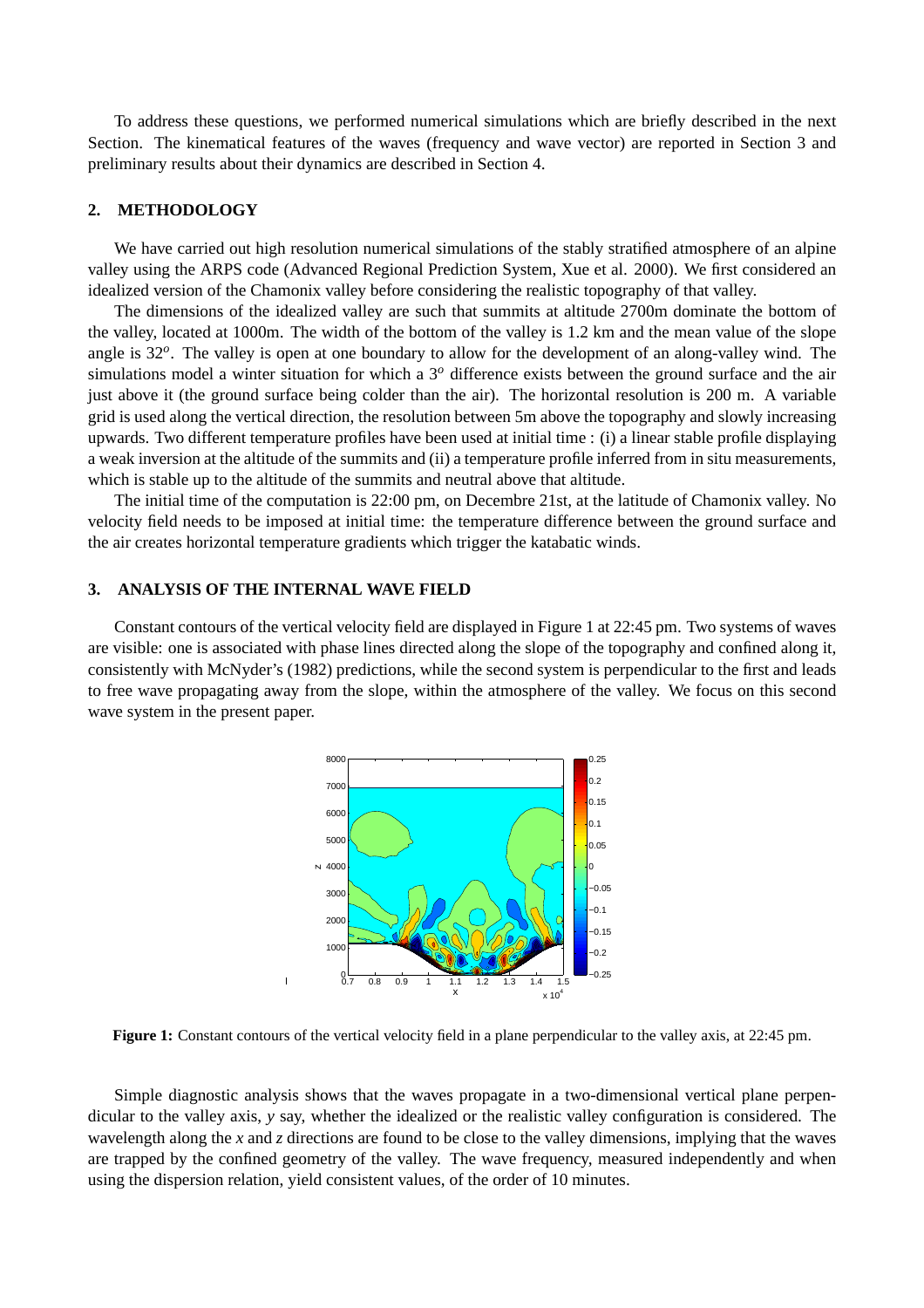To address these questions, we performed numerical simulations which are briefly described in the next Section. The kinematical features of the waves (frequency and wave vector) are reported in Section 3 and preliminary results about their dynamics are described in Section 4.

### **2. METHODOLOGY**

We have carried out high resolution numerical simulations of the stably stratified atmosphere of an alpine valley using the ARPS code (Advanced Regional Prediction System, Xue et al. 2000). We first considered an idealized version of the Chamonix valley before considering the realistic topography of that valley.

The dimensions of the idealized valley are such that summits at altitude 2700m dominate the bottom of the valley, located at 1000m. The width of the bottom of the valley is 1.2 km and the mean value of the slope angle is 32<sup>o</sup>. The valley is open at one boundary to allow for the development of an along-valley wind. The simulations model a winter situation for which a 3*<sup>o</sup>* difference exists between the ground surface and the air just above it (the ground surface being colder than the air). The horizontal resolution is 200 m. A variable grid is used along the vertical direction, the resolution between 5m above the topography and slowly increasing upwards. Two different temperature profiles have been used at initial time : (i) a linear stable profile displaying a weak inversion at the altitude of the summits and (ii) a temperature profile inferred from in situ measurements, which is stable up to the altitude of the summits and neutral above that altitude.

The initial time of the computation is 22:00 pm, on Decembre 21st, at the latitude of Chamonix valley. No velocity field needs to be imposed at initial time: the temperature difference between the ground surface and the air creates horizontal temperature gradients which trigger the katabatic winds.

# **3. ANALYSIS OF THE INTERNAL WAVE FIELD**

Constant contours of the vertical velocity field are displayed in Figure 1 at 22:45 pm. Two systems of waves are visible: one is associated with phase lines directed along the slope of the topography and confined along it, consistently with McNyder's (1982) predictions, while the second system is perpendicular to the first and leads to free wave propagating away from the slope, within the atmosphere of the valley. We focus on this second wave system in the present paper.



**Figure 1:** Constant contours of the vertical velocity field in a plane perpendicular to the valley axis, at 22:45 pm.

Simple diagnostic analysis shows that the waves propagate in a two-dimensional vertical plane perpendicular to the valley axis, *y* say, whether the idealized or the realistic valley configuration is considered. The wavelength along the *x* and *z* directions are found to be close to the valley dimensions, implying that the waves are trapped by the confined geometry of the valley. The wave frequency, measured independently and when using the dispersion relation, yield consistent values, of the order of 10 minutes.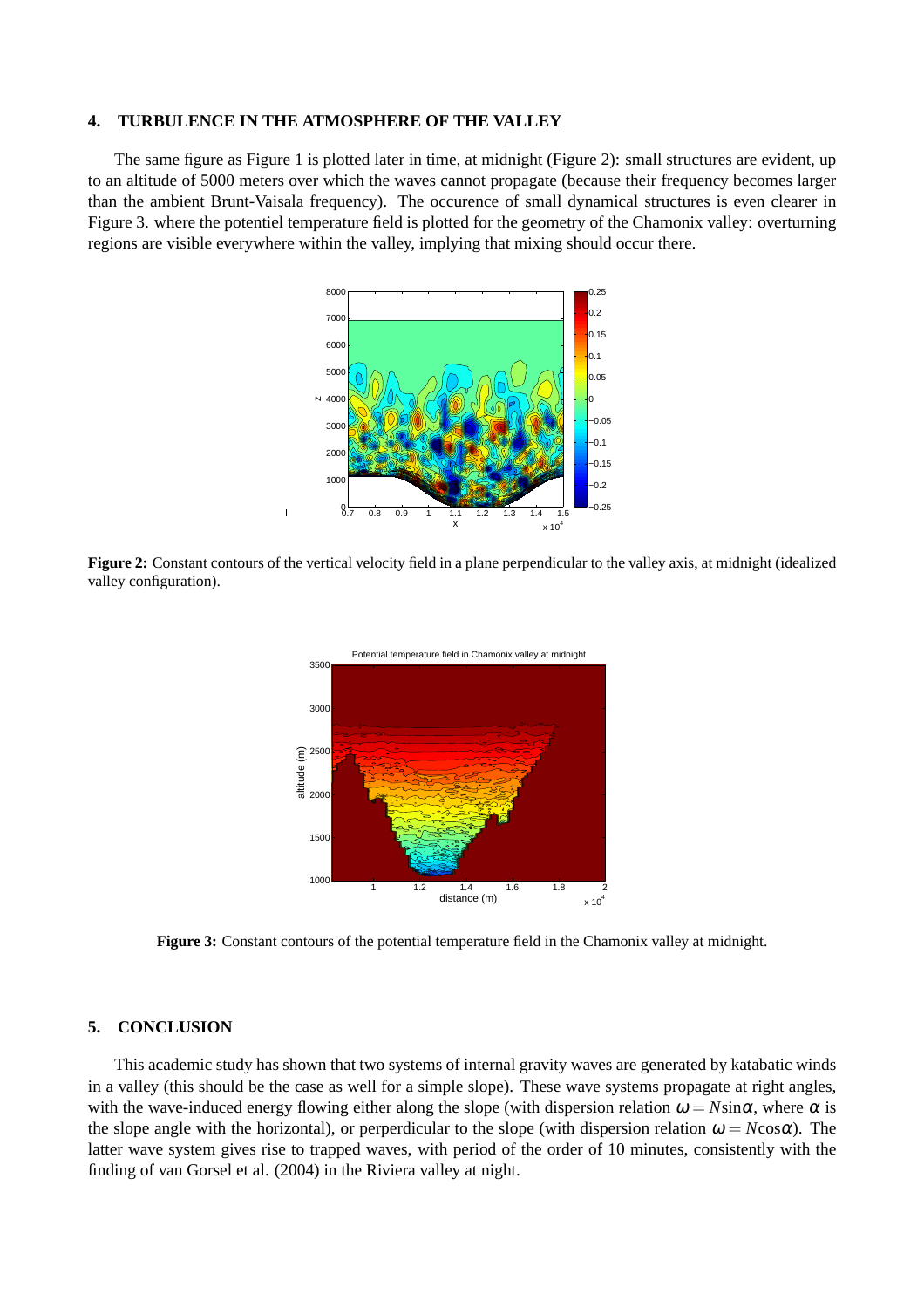#### **4. TURBULENCE IN THE ATMOSPHERE OF THE VALLEY**

 $\overline{1}$ 

The same figure as Figure 1 is plotted later in time, at midnight (Figure 2): small structures are evident, up to an altitude of 5000 meters over which the waves cannot propagate (because their frequency becomes larger than the ambient Brunt-Vaisala frequency). The occurence of small dynamical structures is even clearer in Figure 3. where the potentiel temperature field is plotted for the geometry of the Chamonix valley: overturning regions are visible everywhere within the valley, implying that mixing should occur there.



**Figure 2:** Constant contours of the vertical velocity field in a plane perpendicular to the valley axis, at midnight (idealized valley configuration).



**Figure 3:** Constant contours of the potential temperature field in the Chamonix valley at midnight.

# **5. CONCLUSION**

This academic study has shown that two systems of internal gravity waves are generated by katabatic winds in a valley (this should be the case as well for a simple slope). These wave systems propagate at right angles, with the wave-induced energy flowing either along the slope (with dispersion relation  $\omega = N\sin\alpha$ , where  $\alpha$  is the slope angle with the horizontal), or perperdicular to the slope (with dispersion relation  $\omega = N \cos \alpha$ ). The latter wave system gives rise to trapped waves, with period of the order of 10 minutes, consistently with the finding of van Gorsel et al. (2004) in the Riviera valley at night.